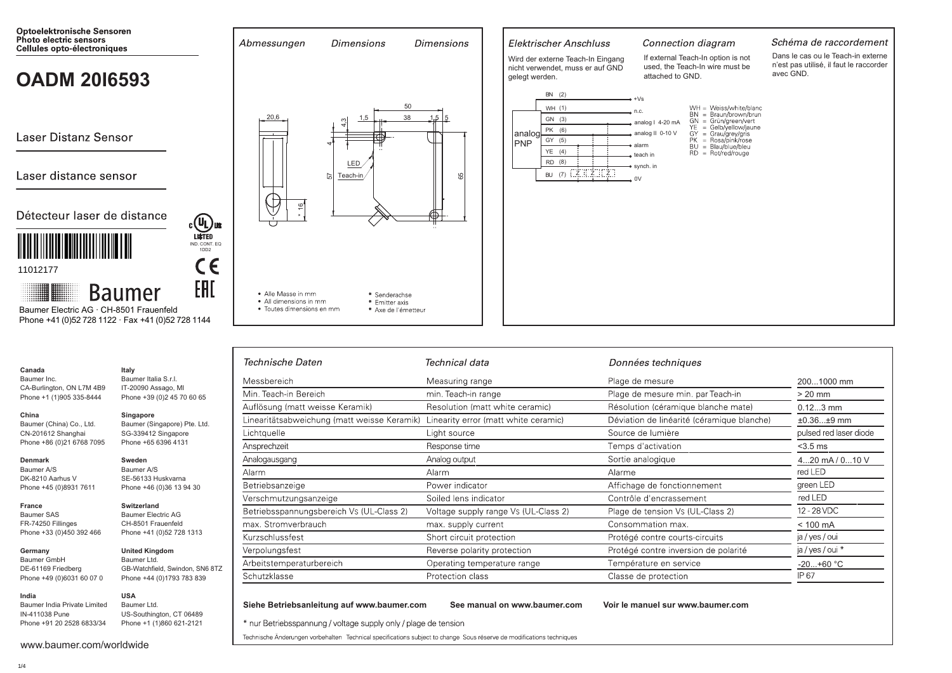

| Janada |  |
|--------|--|
|        |  |

Baumer Inc. CA-Burlington, ON L7M 4B9 Phone +1 (1)905 335-8444

### China

Singapore Baumer (Singapore) Pte. Ltd. Baumer (China) Co., Ltd. CN-201612 Shanghai SG-339412 Singapore Phone +86 (0)21 6768 7095 Phone +65 6396 4131

Italy

Baumer Italia S.r.l.

IT-20090 Assago, MI

Phone +39 (0)2 45 70 60 65

#### **Denmark**

France Baumer SAS

Baumer A/S DK-8210 Aarhus V Phone +45 (0)8931 7611

#### Switzerland

Sweden

Baumer A/S

SE-56133 Huskvarna

Phone +46 (0)36 13 94 30

Baumer Electric AG FR-74250 Fillinges CH-8501 Frauenfeld Phone +33 (0)450 392 466 Phone +41 (0)52 728 1313

#### Germany **Baumer GmbH** DE-61169 Friedberg Phone +49 (0)6031 60

Baumer India Private L IN-411038 Pune Phone +91 20 2528 6833/34

| 070    | Phone +44 (0)1793 783 839 |
|--------|---------------------------|
|        | <b>USA</b>                |
| imited | Baumer Ltd.               |
|        | US-Southington, CT 06489  |
| 33/34  | Phone +1 (1)860 621-2121  |

**United Kingdom** 

GB-Watchfield, Swindon, SN6 8TZ

Baumer Ltd.

| www.baumer.com/worldwide |  |
|--------------------------|--|

| Technische Daten                            | Technical data                       | Données techniques                         |                        |
|---------------------------------------------|--------------------------------------|--------------------------------------------|------------------------|
| Messbereich                                 | Measuring range                      | Plage de mesure                            | 2001000 mm             |
| Min. Teach-in Bereich                       | min. Teach-in range                  | Plage de mesure min. par Teach-in          | $> 20$ mm              |
| Auflösung (matt weisse Keramik)             | Resolution (matt white ceramic)      | Résolution (céramique blanche mate)        | $0.123$ mm             |
| Linearitätsabweichung (matt weisse Keramik) | Linearity error (matt white ceramic) | Déviation de linéarité (céramique blanche) | $±0.36±9$ mm           |
| Lichtquelle                                 | Light source                         | Source de lumière                          | pulsed red laser diode |
| Ansprechzeit                                | Response time                        | Temps d'activation                         | $<$ 3.5 ms             |
| Analogausgang                               | Analog output                        | Sortie analogique                          | 420 mA / 010 V         |
| Alarm                                       | Alarm                                | Alarme                                     | red LED                |
| Betriebsanzeige                             | Power indicator                      | Affichage de fonctionnement                | green LED              |
| Verschmutzungsanzeige                       | Soiled lens indicator                | Contrôle d'encrassement                    | red LED                |
| Betriebsspannungsbereich Vs (UL-Class 2)    | Voltage supply range Vs (UL-Class 2) | Plage de tension Vs (UL-Class 2)           | 12 - 28 VDC            |
| max. Stromverbrauch                         | max. supply current                  | Consommation max.                          | $< 100$ mA             |
| Kurzschlussfest                             | Short circuit protection             | Protégé contre courts-circuits             | ja / yes / oui         |
| Verpolungsfest                              | Reverse polarity protection          | Protégé contre inversion de polarité       | ja / yes / oui *       |
| Arbeitstemperaturbereich                    | Operating temperature range          | Température en service                     | $-20+60 °C$            |
| Schutzklasse                                | Protection class                     | Classe de protection                       | IP 67                  |

Siehe Betriebsanleitung auf www.baumer.com

See manual on www.baumer.com

Voir le manuel sur www.baumer.com

\* nur Betriebsspannung / voltage supply only / plage de tension

Technische Änderungen vorbehalten Technical specifications subject to change Sous réserve de modifications techniques

India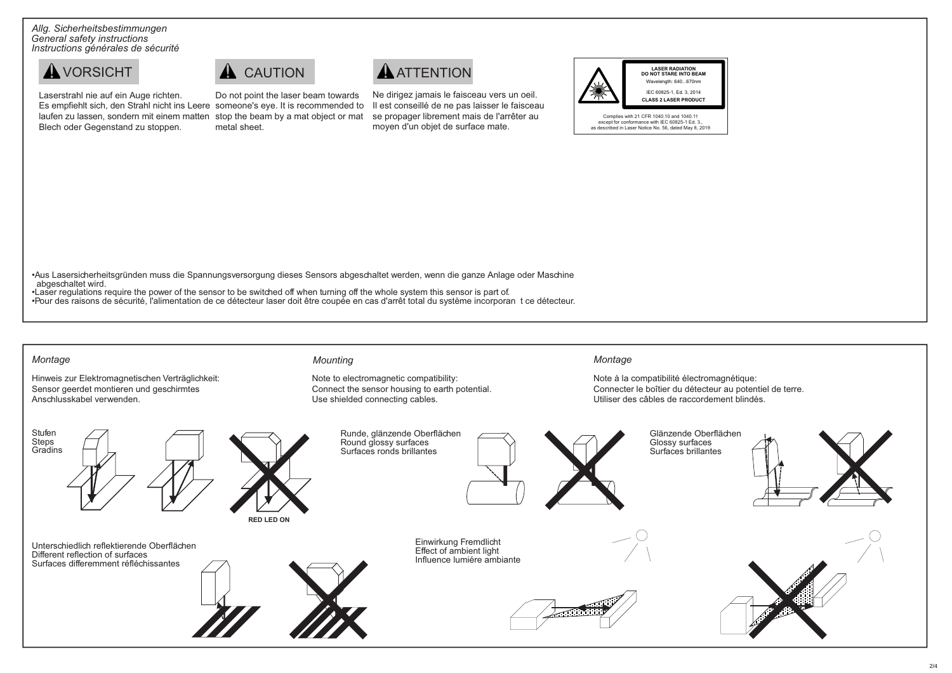*Allg. Sicherheitsbestimmungen General safety instructions Instructions générales de sécurité*



Laserstrahl nie auf ein Auge richten. Es empfiehlt sich, den Strahl nicht ins Leere someone's eye. It is recommended to laufen zu lassen, sondern mit einem matten stop the beam by a mat object or mat Blech oder Gegenstand zu stoppen. Do not point the laser beam towards metal sheet.

Ne dirigez jamais le faisceau vers un oeil. Il est conseillé de ne pas laisser le faisceau se propager librement mais de l'arrêter au moyen d'un objet de surface mate.



•Aus Lasersicherheitsgründen muss die Spannungsversorgung dieses Sensors abgeschaltet werden, wenn die ganze Anlage oder Maschine abgeschaltet wird.

•Laser regulations require the power of the sensor to be switched off when turning off the whole system this sensor is part of. •Pour des raisons de sécurité, l'alimentation de ce détecteur laser doit être coupée en cas d'arrêt total du système incorporan t ce détecteur.

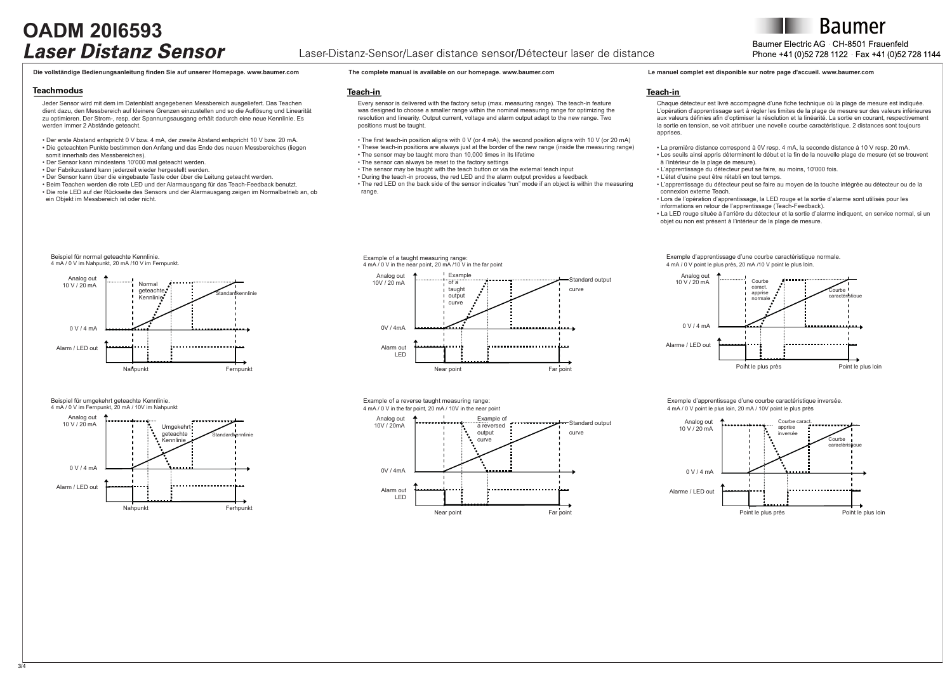## **OADM 20I6593**

### Laser-Distanz-Sensor/Laser distance sensor/Détecteur laser de distance

## Baumer Electric AG CH-8501 Frauenfeld Phone +41 (0)52 728 1122 Fax +41 (0)52 728 1144

#### Die vollständige Bedienungsanleitung finden Sie auf unserer Homepage, www.baumer.com The complete manual is available on our homepage, www.baumer.com Le manuel complet est disponible sur notre page d'accueil, www.baumer.co

#### **Teachmodus**

Jeder Sensor wird mit dem im Datenblatt angegebenen Messbereich ausgeliefert. Das Teachen dient dazu, den Messbereich auf kleinere Grenzen einzustellen und so die Auflösung und Linearität zu optimieren. Der Strom-, resp. der Spannungsausgang erhält dadurch eine neue Kennlinie. Es werden immer 2 Abstände geteacht.

• Der erste Abstand entspricht 0 V bzw. 4 mA, der zweite Abstand entspricht 10 V bzw. 20 mA. • Die geteachten Punkte bestimmen den Anfang und das Ende des neuen Messbereiches (liegen

- somit innerhalb des Messbereiches).
- Der Sensor kann mindestens 10'000 mal geteacht werden.
- Der Fabrikzustand kann jederzeit wieder hergestellt werden.
- Der Sensor kann über die eingebaute Taste oder über die Leitung geteacht werden.

• Beim Teachen werden die rote LED und der Alarmausgang für das Teach-Feedback benutzt. • Die rote LED auf der Rückseite des Sensors und der Alarmausgang zeigen im Normalbetrieb an, ob ein Objekt im Messbereich ist oder nicht.

#### Teach-in

Every sensor is delivered with the factory setup (max. measuring range). The teach-in feature was designed to choose a smaller range within the nominal measuring range for optimizing the resolution and linearity. Output current, voltage and alarm output adapt to the new range. Two positions must be taught.

• The first teach-in position aligns with 0 V (or 4 mA), the second position aligns with 10 V (or 20 mA) • These teach-in positions are always just at the border of the new range (inside the measuring range) • The sensor may be taught more than 10,000 times in its lifetime

- The sensor can always be reset to the factory settings
- The sensor may be taught with the teach button or via the external teach input

• During the teach-in process, the red LED and the alarm output provides a feedback

• The red LED on the back side of the sensor indicates "run" mode if an object is within the measuring range.

#### Teach-in

Chaque détecteur est livré accompagné d'une fiche technique où la plage de mesure est indiquée. L'opération d'apprentissage sert à régler les limites de la plage de mesure sur des valeurs inférieures aux valeurs définies afin d'optimiser la résolution et la linéarité. La sortie en courant, respectivement la sortie en tension, se voit attribuer une novelle courbe caractéristique. 2 distances sont toujours apprises.

• La première distance correspond à 0V resp. 4 mA, la seconde distance à 10 V resp. 20 mA. • Les seuils ainsi appris déterminent le début et la fin de la nouvelle plage de mesure (et se trouvent

- ä l'intérieur de la plage de mesure).
- L'apprentissage du détecteur peut se faire, au moins, 10'000 fois.
- L'état d'usine peut être rétabli en tout temps.
- L'apprentissage du détecteur peut se faire au moyen de la touche intégrée au détecteur ou de la connexion externe Teach.
- Lors de l'opération d'apprentissage, la LED rouge et la sortie d'alarme sont utilisés pour les informations en retour de l'apprentissage (Teach-Feedback).
- La LED rouge située à l'arrière du détecteur et la sortie d'alarme indiquent, en service normal, si un objet ou non est présent à l'intérieur de la plage de mesure.



Beispiel für umgekehrt geteachte Kennlinie. 4 mA / 0 V im Fernpunkt, 20 mA / 10V im Nahpunkt

 $\overline{36}$ 



Example of a taught measuring range: 4 mA / 0 V in the near point, 20 mA /10 V in the far point



Example of a reverse taught measuring range: 4 mA / 0 V in the far point, 20 mA / 10V in the near point



Exemple d'apprentissage d'une courbe caractéristique normale. 4 mA / 0 V point le plus près, 20 mA /10 V point le plus loin.



Exemple d'apprentissage d'une courbe caractéristique inversée. 4 mA / 0 V point le plus loin, 20 mA / 10V point le plus près